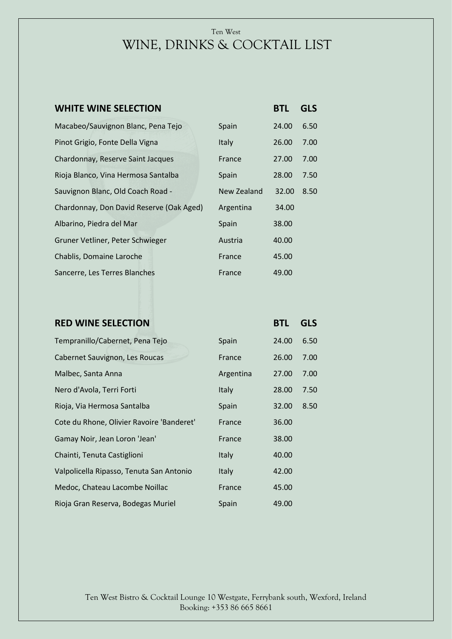| <b>WHITE WINE SELECTION</b>              |             | <b>BTL</b> | <b>GLS</b> |
|------------------------------------------|-------------|------------|------------|
| Macabeo/Sauvignon Blanc, Pena Tejo       | Spain       | 24.00      | 6.50       |
| Pinot Grigio, Fonte Della Vigna          | Italy       | 26.00      | 7.00       |
| Chardonnay, Reserve Saint Jacques        | France      | 27.00      | 7.00       |
| Rioja Blanco, Vina Hermosa Santalba      | Spain       | 28.00      | 7.50       |
| Sauvignon Blanc, Old Coach Road -        | New Zealand | 32.00      | 8.50       |
| Chardonnay, Don David Reserve (Oak Aged) | Argentina   | 34.00      |            |
| Albarino, Piedra del Mar                 | Spain       | 38.00      |            |
| Gruner Vetliner, Peter Schwieger         | Austria     | 40.00      |            |
| Chablis, Domaine Laroche                 | France      | 45.00      |            |
| Sancerre, Les Terres Blanches            | France      | 49.00      |            |

| <b>RED WINE SELECTION</b>                 |              | <b>BTL</b> | <b>GLS</b> |
|-------------------------------------------|--------------|------------|------------|
| Tempranillo/Cabernet, Pena Tejo           | Spain        | 24.00      | 6.50       |
| Cabernet Sauvignon, Les Roucas            | France       | 26.00      | 7.00       |
| Malbec, Santa Anna                        | Argentina    | 27.00      | 7.00       |
| Nero d'Avola, Terri Forti                 | Italy        | 28.00      | 7.50       |
| Rioja, Via Hermosa Santalba               | Spain        | 32.00      | 8.50       |
| Cote du Rhone, Olivier Ravoire 'Banderet' | France       | 36.00      |            |
| Gamay Noir, Jean Loron 'Jean'             | France       | 38.00      |            |
| Chainti, Tenuta Castiglioni               | <b>Italy</b> | 40.00      |            |
| Valpolicella Ripasso, Tenuta San Antonio  | <b>Italy</b> | 42.00      |            |
| Medoc, Chateau Lacombe Noillac            | France       | 45.00      |            |
| Rioja Gran Reserva, Bodegas Muriel        | Spain        | 49.00      |            |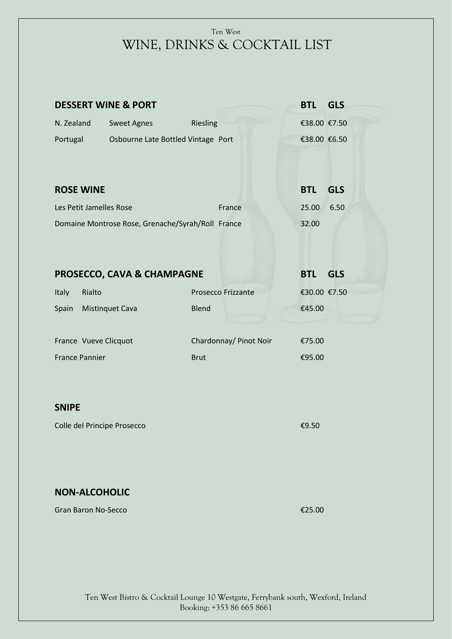| <b>DESSERT WINE &amp; PORT</b> |                         | <b>BTL</b>                                        | <b>GLS</b>   |                        |              |            |
|--------------------------------|-------------------------|---------------------------------------------------|--------------|------------------------|--------------|------------|
| N. Zealand                     |                         | <b>Sweet Agnes</b>                                | Riesling     |                        | €38.00 €7.50 |            |
| Portugal                       |                         | Osbourne Late Bottled Vintage Port                |              |                        | €38.00 €6.50 |            |
|                                | <b>ROSE WINE</b>        |                                                   |              |                        | <b>BTL</b>   | <b>GLS</b> |
|                                | Les Petit Jamelles Rose |                                                   |              | France                 | 25.00        | 6.50       |
|                                |                         | Domaine Montrose Rose, Grenache/Syrah/Roll France |              |                        | 32.00        |            |
|                                |                         | PROSECCO, CAVA & CHAMPAGNE                        |              |                        | <b>BTL</b>   | <b>GLS</b> |
| <b>Italy</b>                   | Rialto                  |                                                   |              | Prosecco Frizzante     | €30.00 €7.50 |            |
| Spain                          |                         | <b>Mistinquet Cava</b>                            | <b>Blend</b> |                        | €45.00       |            |
|                                | France Vueve Clicquot   |                                                   |              | Chardonnay/ Pinot Noir | €75.00       |            |
|                                | <b>France Pannier</b>   |                                                   | <b>Brut</b>  |                        | €95.00       |            |
| <b>SNIPE</b>                   |                         |                                                   |              |                        |              |            |
|                                |                         | Colle del Principe Prosecco                       |              |                        | €9.50        |            |
|                                | <b>NON-ALCOHOLIC</b>    |                                                   |              |                        |              |            |

 $G$ ran Baron No-Secco  $\epsilon$ 25.00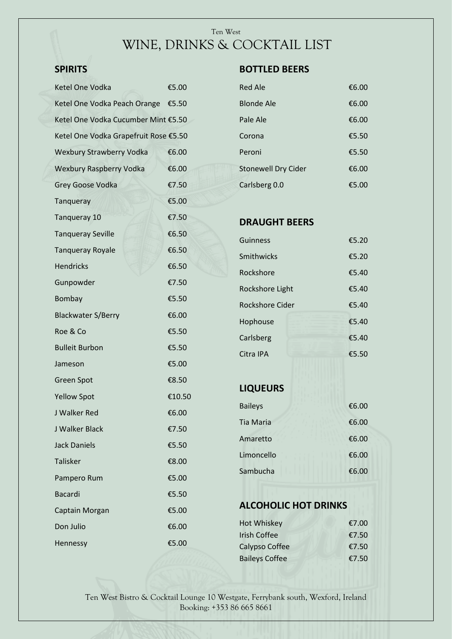### **SPIRITS**

| Ketel One Vodka                       | €5.00  |
|---------------------------------------|--------|
| Ketel One Vodka Peach Orange €5.50    |        |
| Ketel One Vodka Cucumber Mint €5.50   |        |
| Ketel One Vodka Grapefruit Rose €5.50 |        |
| <b>Wexbury Strawberry Vodka</b>       | €6.00  |
| <b>Wexbury Raspberry Vodka</b>        | €6.00  |
| Grey Goose Vodka                      | €7.50  |
| Tanqueray                             | €5.00  |
| Tanqueray 10                          | €7.50  |
| <b>Tanqueray Seville</b>              | €6.50  |
| <b>Tanqueray Royale</b>               | €6.50  |
| <b>Hendricks</b>                      | €6.50  |
| Gunpowder                             | €7.50  |
| Bombay                                | €5.50  |
| <b>Blackwater S/Berry</b>             | €6.00  |
| Roe & Co                              | €5.50  |
| <b>Bulleit Burbon</b>                 | €5.50  |
| Jameson                               | €5.00  |
| <b>Green Spot</b>                     | €8.50  |
| <b>Yellow Spot</b>                    | €10.50 |
| J Walker Red                          | €6.00  |
| J Walker Black                        | €7.50  |
| <b>Jack Daniels</b>                   | €5.50  |
| Talisker                              | €8.00  |
| Pampero Rum                           | €5.00  |
| <b>Bacardi</b>                        | €5.50  |
| Captain Morgan                        | €5.00  |
| Don Julio                             | €6.00  |
| Hennessy                              | €5.00  |
|                                       |        |

#### **BOTTLED BEERS**

| Red Ale                    | €6.00 |
|----------------------------|-------|
| Blonde Ale                 | €6.00 |
| Pale Ale                   | €6.00 |
| Corona                     | €5.50 |
| Peroni                     | €5.50 |
| <b>Stonewell Dry Cider</b> | €6.00 |
| Carlsberg 0.0              | €5.00 |

#### **DRAUGHT BEERS**

| Guinness         | €5.20 |
|------------------|-------|
| Smithwicks       | €5.20 |
| <b>Rockshore</b> | €5.40 |
| Rockshore Light  | €5.40 |
| Rockshore Cider  | €5.40 |
| Hophouse         | €5.40 |
| Carlsberg        | €5.40 |
| Citra IPA        | €5.50 |

#### **LIQUEURS**

| €6.00 |
|-------|
| €6.00 |
| €6.00 |
| €6.00 |
| €6.00 |
|       |

### **ALCOHOLIC HOT DRINKS**

| Hot Whiskey           | €7.00 |
|-----------------------|-------|
| <b>Irish Coffee</b>   | €7.50 |
| Calypso Coffee        | €7.50 |
| <b>Baileys Coffee</b> | €7.50 |
|                       |       |